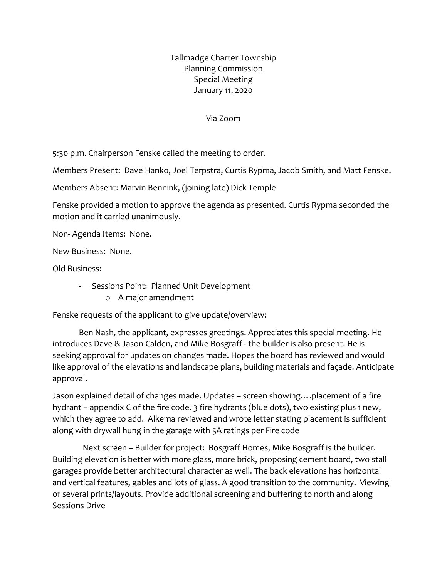Tallmadge Charter Township Planning Commission Special Meeting January 11, 2020

Via Zoom

5:30 p.m. Chairperson Fenske called the meeting to order.

Members Present: Dave Hanko, Joel Terpstra, Curtis Rypma, Jacob Smith, and Matt Fenske.

Members Absent: Marvin Bennink, (joining late) Dick Temple

Fenske provided a motion to approve the agenda as presented. Curtis Rypma seconded the motion and it carried unanimously.

Non- Agenda Items: None.

New Business: None.

Old Business:

- Sessions Point: Planned Unit Development
	- o A major amendment

Fenske requests of the applicant to give update/overview:

Ben Nash, the applicant, expresses greetings. Appreciates this special meeting. He introduces Dave & Jason Calden, and Mike Bosgraff - the builder is also present. He is seeking approval for updates on changes made. Hopes the board has reviewed and would like approval of the elevations and landscape plans, building materials and façade. Anticipate approval.

Jason explained detail of changes made. Updates – screen showing….placement of a fire hydrant – appendix C of the fire code. 3 fire hydrants (blue dots), two existing plus 1 new, which they agree to add. Alkema reviewed and wrote letter stating placement is sufficient along with drywall hung in the garage with 5A ratings per Fire code

 Next screen – Builder for project: Bosgraff Homes, Mike Bosgraff is the builder. Building elevation is better with more glass, more brick, proposing cement board, two stall garages provide better architectural character as well. The back elevations has horizontal and vertical features, gables and lots of glass. A good transition to the community. Viewing of several prints/layouts. Provide additional screening and buffering to north and along Sessions Drive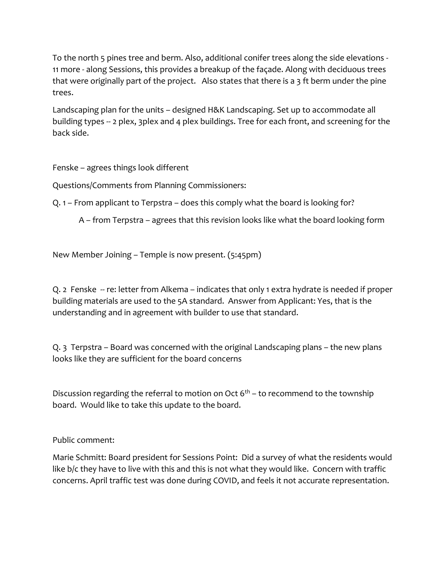To the north 5 pines tree and berm. Also, additional conifer trees along the side elevations - 11 more - along Sessions, this provides a breakup of the façade. Along with deciduous trees that were originally part of the project. Also states that there is a 3 ft berm under the pine trees.

Landscaping plan for the units – designed H&K Landscaping. Set up to accommodate all building types -- 2 plex, 3plex and 4 plex buildings. Tree for each front, and screening for the back side.

Fenske – agrees things look different

Questions/Comments from Planning Commissioners:

Q. 1 – From applicant to Terpstra – does this comply what the board is looking for?

A – from Terpstra – agrees that this revision looks like what the board looking form

New Member Joining – Temple is now present. (5:45pm)

Q. 2 Fenske -- re: letter from Alkema – indicates that only 1 extra hydrate is needed if proper building materials are used to the 5A standard. Answer from Applicant: Yes, that is the understanding and in agreement with builder to use that standard.

Q. 3 Terpstra – Board was concerned with the original Landscaping plans – the new plans looks like they are sufficient for the board concerns

Discussion regarding the referral to motion on Oct  $6<sup>th</sup>$  – to recommend to the township board. Would like to take this update to the board.

Public comment:

Marie Schmitt: Board president for Sessions Point: Did a survey of what the residents would like b/c they have to live with this and this is not what they would like. Concern with traffic concerns. April traffic test was done during COVID, and feels it not accurate representation.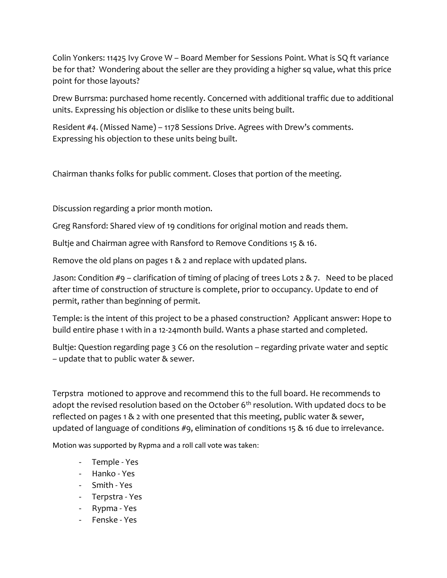Colin Yonkers: 11425 Ivy Grove W – Board Member for Sessions Point. What is SQ ft variance be for that? Wondering about the seller are they providing a higher sq value, what this price point for those layouts?

Drew Burrsma: purchased home recently. Concerned with additional traffic due to additional units. Expressing his objection or dislike to these units being built.

Resident #4. (Missed Name) – 1178 Sessions Drive. Agrees with Drew's comments. Expressing his objection to these units being built.

Chairman thanks folks for public comment. Closes that portion of the meeting.

Discussion regarding a prior month motion.

Greg Ransford: Shared view of 19 conditions for original motion and reads them.

Bultje and Chairman agree with Ransford to Remove Conditions 15 & 16.

Remove the old plans on pages 1 & 2 and replace with updated plans.

Jason: Condition #9 – clarification of timing of placing of trees Lots 2 & 7. Need to be placed after time of construction of structure is complete, prior to occupancy. Update to end of permit, rather than beginning of permit.

Temple: is the intent of this project to be a phased construction? Applicant answer: Hope to build entire phase 1 with in a 12-24month build. Wants a phase started and completed.

Bultje: Question regarding page 3 C6 on the resolution – regarding private water and septic – update that to public water & sewer.

Terpstra motioned to approve and recommend this to the full board. He recommends to adopt the revised resolution based on the October  $6<sup>th</sup>$  resolution. With updated docs to be reflected on pages 1 & 2 with one presented that this meeting, public water & sewer, updated of language of conditions #9, elimination of conditions 15 & 16 due to irrelevance.

Motion was supported by Rypma and a roll call vote was taken:

- Temple Yes
- Hanko Yes
- Smith Yes
- Terpstra Yes
- Rypma Yes
- Fenske Yes